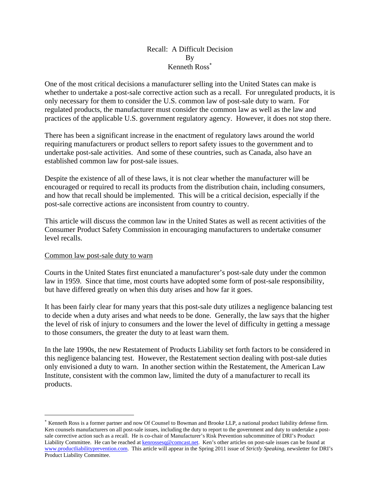## Recall: A Difficult Decision By Kenneth Ross

One of the most critical decisions a manufacturer selling into the United States can make is whether to undertake a post-sale corrective action such as a recall. For unregulated products, it is only necessary for them to consider the U.S. common law of post-sale duty to warn. For regulated products, the manufacturer must consider the common law as well as the law and practices of the applicable U.S. government regulatory agency. However, it does not stop there.

There has been a significant increase in the enactment of regulatory laws around the world requiring manufacturers or product sellers to report safety issues to the government and to undertake post-sale activities. And some of these countries, such as Canada, also have an established common law for post-sale issues.

Despite the existence of all of these laws, it is not clear whether the manufacturer will be encouraged or required to recall its products from the distribution chain, including consumers, and how that recall should be implemented. This will be a critical decision, especially if the post-sale corrective actions are inconsistent from country to country.

This article will discuss the common law in the United States as well as recent activities of the Consumer Product Safety Commission in encouraging manufacturers to undertake consumer level recalls.

## Common law post-sale duty to warn

 $\overline{a}$ 

Courts in the United States first enunciated a manufacturer's post-sale duty under the common law in 1959. Since that time, most courts have adopted some form of post-sale responsibility, but have differed greatly on when this duty arises and how far it goes.

It has been fairly clear for many years that this post-sale duty utilizes a negligence balancing test to decide when a duty arises and what needs to be done. Generally, the law says that the higher the level of risk of injury to consumers and the lower the level of difficulty in getting a message to those consumers, the greater the duty to at least warn them.

In the late 1990s, the new Restatement of Products Liability set forth factors to be considered in this negligence balancing test. However, the Restatement section dealing with post-sale duties only envisioned a duty to warn. In another section within the Restatement, the American Law Institute, consistent with the common law, limited the duty of a manufacturer to recall its products.

Kenneth Ross is a former partner and now Of Counsel to Bowman and Brooke LLP, a national product liability defense firm. Ken counsels manufacturers on all post-sale issues, including the duty to report to the government and duty to undertake a postsale corrective action such as a recall. He is co-chair of Manufacturer's Risk Prevention subcommittee of DRI's Product Liability Committee. He can be reached at kenrossesq@comcast.net. Ken's other articles on post-sale issues can be found at www.productliabilityprevention.com. This article will appear in the Spring 2011 issue of *Strictly Speaking*, newsletter for DRI's Product Liability Committee.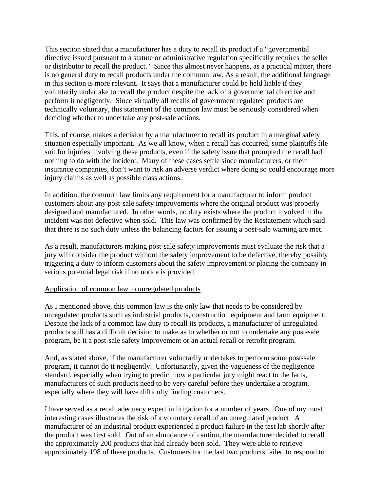This section stated that a manufacturer has a duty to recall its product if a "governmental directive issued pursuant to a statute or administrative regulation specifically requires the seller or distributor to recall the product." Since this almost never happens, as a practical matter, there is no general duty to recall products under the common law. As a result, the additional language in this section is more relevant. It says that a manufacturer could be held liable if they voluntarily undertake to recall the product despite the lack of a governmental directive and perform it negligently. Since virtually all recalls of government regulated products are technically voluntary, this statement of the common law must be seriously considered when deciding whether to undertake any post-sale actions.

This, of course, makes a decision by a manufacturer to recall its product in a marginal safety situation especially important. As we all know, when a recall has occurred, some plaintiffs file suit for injuries involving these products, even if the safety issue that prompted the recall had nothing to do with the incident. Many of these cases settle since manufacturers, or their insurance companies, don't want to risk an adverse verdict where doing so could encourage more injury claims as well as possible class actions.

In addition, the common law limits any requirement for a manufacturer to inform product customers about any post-sale safety improvements where the original product was properly designed and manufactured. In other words, no duty exists where the product involved in the incident was not defective when sold. This law was confirmed by the Restatement which said that there is no such duty unless the balancing factors for issuing a post-sale warning are met.

As a result, manufacturers making post-sale safety improvements must evaluate the risk that a jury will consider the product without the safety improvement to be defective, thereby possibly triggering a duty to inform customers about the safety improvement or placing the company in serious potential legal risk if no notice is provided.

## Application of common law to unregulated products

As I mentioned above, this common law is the only law that needs to be considered by unregulated products such as industrial products, construction equipment and farm equipment. Despite the lack of a common law duty to recall its products, a manufacturer of unregulated products still has a difficult decision to make as to whether or not to undertake any post-sale program, be it a post-sale safety improvement or an actual recall or retrofit program.

And, as stated above, if the manufacturer voluntarily undertakes to perform some post-sale program, it cannot do it negligently. Unfortunately, given the vagueness of the negligence standard, especially when trying to predict how a particular jury might react to the facts, manufacturers of such products need to be very careful before they undertake a program, especially where they will have difficulty finding customers.

I have served as a recall adequacy expert in litigation for a number of years. One of my most interesting cases illustrates the risk of a voluntary recall of an unregulated product. A manufacturer of an industrial product experienced a product failure in the test lab shortly after the product was first sold. Out of an abundance of caution, the manufacturer decided to recall the approximately 200 products that had already been sold. They were able to retrieve approximately 198 of these products. Customers for the last two products failed to respond to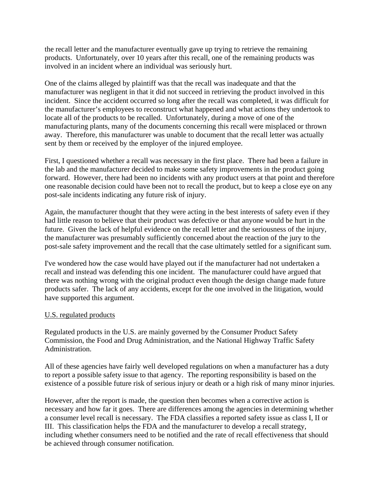the recall letter and the manufacturer eventually gave up trying to retrieve the remaining products. Unfortunately, over 10 years after this recall, one of the remaining products was involved in an incident where an individual was seriously hurt.

One of the claims alleged by plaintiff was that the recall was inadequate and that the manufacturer was negligent in that it did not succeed in retrieving the product involved in this incident. Since the accident occurred so long after the recall was completed, it was difficult for the manufacturer's employees to reconstruct what happened and what actions they undertook to locate all of the products to be recalled. Unfortunately, during a move of one of the manufacturing plants, many of the documents concerning this recall were misplaced or thrown away. Therefore, this manufacturer was unable to document that the recall letter was actually sent by them or received by the employer of the injured employee.

First, I questioned whether a recall was necessary in the first place. There had been a failure in the lab and the manufacturer decided to make some safety improvements in the product going forward. However, there had been no incidents with any product users at that point and therefore one reasonable decision could have been not to recall the product, but to keep a close eye on any post-sale incidents indicating any future risk of injury.

Again, the manufacturer thought that they were acting in the best interests of safety even if they had little reason to believe that their product was defective or that anyone would be hurt in the future. Given the lack of helpful evidence on the recall letter and the seriousness of the injury, the manufacturer was presumably sufficiently concerned about the reaction of the jury to the post-sale safety improvement and the recall that the case ultimately settled for a significant sum.

I've wondered how the case would have played out if the manufacturer had not undertaken a recall and instead was defending this one incident. The manufacturer could have argued that there was nothing wrong with the original product even though the design change made future products safer. The lack of any accidents, except for the one involved in the litigation, would have supported this argument.

## U.S. regulated products

Regulated products in the U.S. are mainly governed by the Consumer Product Safety Commission, the Food and Drug Administration, and the National Highway Traffic Safety Administration.

All of these agencies have fairly well developed regulations on when a manufacturer has a duty to report a possible safety issue to that agency. The reporting responsibility is based on the existence of a possible future risk of serious injury or death or a high risk of many minor injuries.

However, after the report is made, the question then becomes when a corrective action is necessary and how far it goes. There are differences among the agencies in determining whether a consumer level recall is necessary. The FDA classifies a reported safety issue as class I, II or III. This classification helps the FDA and the manufacturer to develop a recall strategy, including whether consumers need to be notified and the rate of recall effectiveness that should be achieved through consumer notification.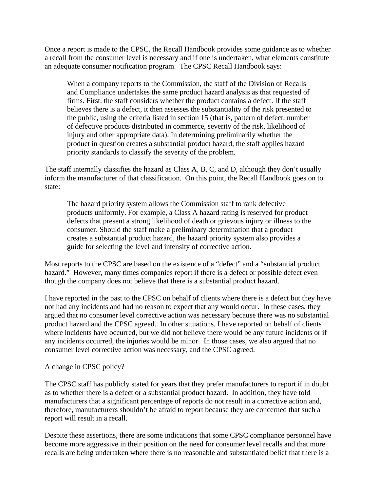Once a report is made to the CPSC, the Recall Handbook provides some guidance as to whether a recall from the consumer level is necessary and if one is undertaken, what elements constitute an adequate consumer notification program. The CPSC Recall Handbook says:

When a company reports to the Commission, the staff of the Division of Recalls and Compliance undertakes the same product hazard analysis as that requested of firms. First, the staff considers whether the product contains a defect. If the staff believes there is a defect, it then assesses the substantiality of the risk presented to the public, using the criteria listed in section 15 (that is, pattern of defect, number of defective products distributed in commerce, severity of the risk, likelihood of injury and other appropriate data). In determining preliminarily whether the product in question creates a substantial product hazard, the staff applies hazard priority standards to classify the severity of the problem.

The staff internally classifies the hazard as Class A, B, C, and D, although they don't usually inform the manufacturer of that classification. On this point, the Recall Handbook goes on to state:

The hazard priority system allows the Commission staff to rank defective products uniformly. For example, a Class A hazard rating is reserved for product defects that present a strong likelihood of death or grievous injury or illness to the consumer. Should the staff make a preliminary determination that a product creates a substantial product hazard, the hazard priority system also provides a guide for selecting the level and intensity of corrective action.

Most reports to the CPSC are based on the existence of a "defect" and a "substantial product hazard." However, many times companies report if there is a defect or possible defect even though the company does not believe that there is a substantial product hazard.

I have reported in the past to the CPSC on behalf of clients where there is a defect but they have not had any incidents and had no reason to expect that any would occur. In these cases, they argued that no consumer level corrective action was necessary because there was no substantial product hazard and the CPSC agreed. In other situations, I have reported on behalf of clients where incidents have occurred, but we did not believe there would be any future incidents or if any incidents occurred, the injuries would be minor. In those cases, we also argued that no consumer level corrective action was necessary, and the CPSC agreed.

## A change in CPSC policy?

The CPSC staff has publicly stated for years that they prefer manufacturers to report if in doubt as to whether there is a defect or a substantial product hazard. In addition, they have told manufacturers that a significant percentage of reports do not result in a corrective action and, therefore, manufacturers shouldn't be afraid to report because they are concerned that such a report will result in a recall.

Despite these assertions, there are some indications that some CPSC compliance personnel have become more aggressive in their position on the need for consumer level recalls and that more recalls are being undertaken where there is no reasonable and substantiated belief that there is a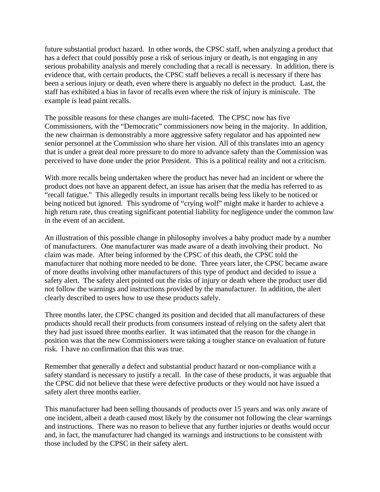future substantial product hazard. In other words, the CPSC staff, when analyzing a product that has a defect that could possibly pose a risk of serious injury or death, is not engaging in any serious probability analysis and merely concluding that a recall is necessary. In addition, there is evidence that, with certain products, the CPSC staff believes a recall is necessary if there has been a serious injury or death, even where there is arguably no defect in the product. Last, the staff has exhibited a bias in favor of recalls even where the risk of injury is miniscule. The example is lead paint recalls.

The possible reasons for these changes are multi-faceted. The CPSC now has five Commissioners, with the "Democratic" commissioners now being in the majority. In addition, the new chairman is demonstrably a more aggressive safety regulator and has appointed new senior personnel at the Commission who share her vision. All of this translates into an agency that is under a great deal more pressure to do more to advance safety than the Commission was perceived to have done under the prior President. This is a political reality and not a criticism.

With more recalls being undertaken where the product has never had an incident or where the product does not have an apparent defect, an issue has arisen that the media has referred to as "recall fatigue." This allegedly results in important recalls being less likely to be noticed or being noticed but ignored. This syndrome of "crying wolf" might make it harder to achieve a high return rate, thus creating significant potential liability for negligence under the common law in the event of an accident.

An illustration of this possible change in philosophy involves a baby product made by a number of manufacturers. One manufacturer was made aware of a death involving their product. No claim was made. After being informed by the CPSC of this death, the CPSC told the manufacturer that nothing more needed to be done. Three years later, the CPSC became aware of more deaths involving other manufacturers of this type of product and decided to issue a safety alert. The safety alert pointed out the risks of injury or death where the product user did not follow the warnings and instructions provided by the manufacturer. In addition, the alert clearly described to users how to use these products safely.

Three months later, the CPSC changed its position and decided that all manufacturers of these products should recall their products from consumers instead of relying on the safety alert that they had just issued three months earlier. It was intimated that the reason for the change in position was that the new Commissioners were taking a tougher stance on evaluation of future risk. I have no confirmation that this was true.

Remember that generally a defect and substantial product hazard or non-compliance with a safety standard is necessary to justify a recall. In the case of these products, it was arguable that the CPSC did not believe that these were defective products or they would not have issued a safety alert three months earlier.

This manufacturer had been selling thousands of products over 15 years and was only aware of one incident, albeit a death caused most likely by the consumer not following the clear warnings and instructions. There was no reason to believe that any further injuries or deaths would occur and, in fact, the manufacturer had changed its warnings and instructions to be consistent with those included by the CPSC in their safety alert.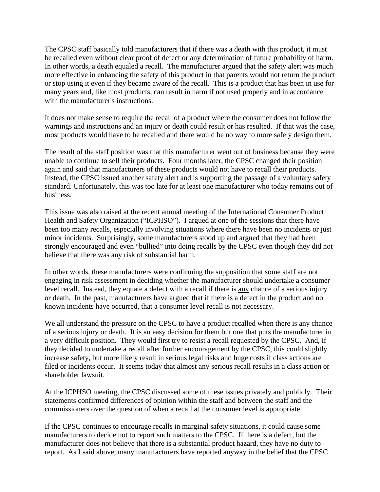The CPSC staff basically told manufacturers that if there was a death with this product, it must be recalled even without clear proof of defect or any determination of future probability of harm. In other words, a death equaled a recall. The manufacturer argued that the safety alert was much more effective in enhancing the safety of this product in that parents would not return the product or stop using it even if they became aware of the recall. This is a product that has been in use for many years and, like most products, can result in harm if not used properly and in accordance with the manufacturer's instructions.

It does not make sense to require the recall of a product where the consumer does not follow the warnings and instructions and an injury or death could result or has resulted. If that was the case, most products would have to be recalled and there would be no way to more safely design them.

The result of the staff position was that this manufacturer went out of business because they were unable to continue to sell their products. Four months later, the CPSC changed their position again and said that manufacturers of these products would not have to recall their products. Instead, the CPSC issued another safety alert and is supporting the passage of a voluntary safety standard. Unfortunately, this was too late for at least one manufacturer who today remains out of business.

This issue was also raised at the recent annual meeting of the International Consumer Product Health and Safety Organization ("ICPHSO"). I argued at one of the sessions that there have been too many recalls, especially involving situations where there have been no incidents or just minor incidents. Surprisingly, some manufacturers stood up and argued that they had been strongly encouraged and even "bullied" into doing recalls by the CPSC even though they did not believe that there was any risk of substantial harm.

In other words, these manufacturers were confirming the supposition that some staff are not engaging in risk assessment in deciding whether the manufacturer should undertake a consumer level recall. Instead, they equate a defect with a recall if there is any chance of a serious injury or death. In the past, manufacturers have argued that if there is a defect in the product and no known incidents have occurred, that a consumer level recall is not necessary.

We all understand the pressure on the CPSC to have a product recalled when there is any chance of a serious injury or death. It is an easy decision for them but one that puts the manufacturer in a very difficult position. They would first try to resist a recall requested by the CPSC. And, if they decided to undertake a recall after further encouragement by the CPSC, this could slightly increase safety, but more likely result in serious legal risks and huge costs if class actions are filed or incidents occur. It seems today that almost any serious recall results in a class action or shareholder lawsuit.

At the ICPHSO meeting, the CPSC discussed some of these issues privately and publicly. Their statements confirmed differences of opinion within the staff and between the staff and the commissioners over the question of when a recall at the consumer level is appropriate.

If the CPSC continues to encourage recalls in marginal safety situations, it could cause some manufacturers to decide not to report such matters to the CPSC. If there is a defect, but the manufacturer does not believe that there is a substantial product hazard, they have no duty to report. As I said above, many manufacturers have reported anyway in the belief that the CPSC